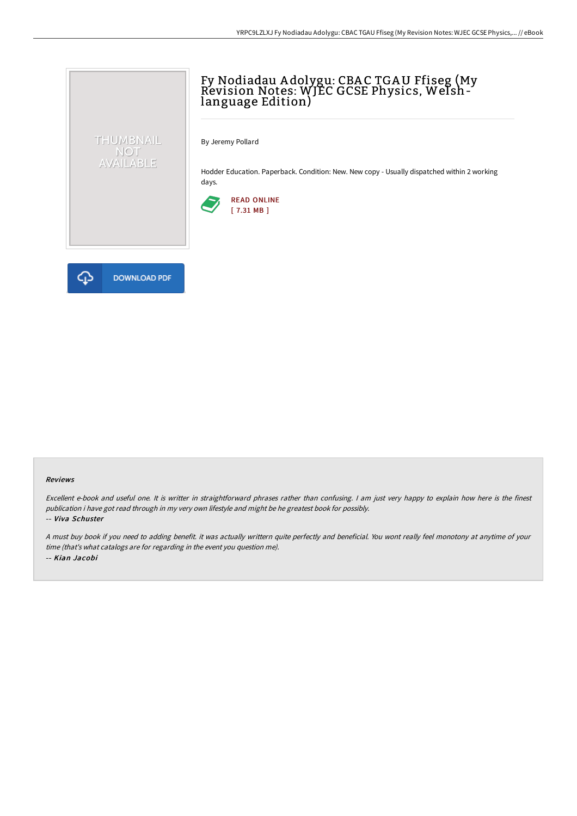## Fy Nodiadau A dolygu: CBA C TGAU Ffiseg (My Revision Notes: WJEC GCSE Physics, Welshlanguage Edition)

By Jeremy Pollard

Hodder Education. Paperback. Condition: New. New copy - Usually dispatched within 2 working days.





THUMBNAIL NOT<br>AVAILABLE

## Reviews

Excellent e-book and useful one. It is writter in straightforward phrases rather than confusing. <sup>I</sup> am just very happy to explain how here is the finest publication i have got read through in my very own lifestyle and might be he greatest book for possibly. -- Viva Schuster

<sup>A</sup> must buy book if you need to adding benefit. it was actually writtern quite perfectly and beneficial. You wont really feel monotony at anytime of your time (that's what catalogs are for regarding in the event you question me). -- Kian Jacobi